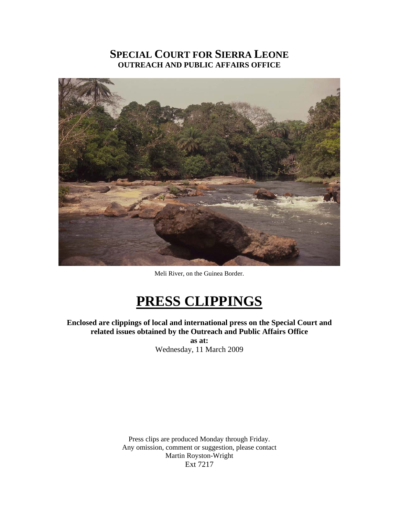# **SPECIAL COURT FOR SIERRA LEONE OUTREACH AND PUBLIC AFFAIRS OFFICE**



Meli River, on the Guinea Border.

# **PRESS CLIPPINGS**

**Enclosed are clippings of local and international press on the Special Court and related issues obtained by the Outreach and Public Affairs Office as at:** 

Wednesday, 11 March 2009

Press clips are produced Monday through Friday. Any omission, comment or suggestion, please contact Martin Royston-Wright Ext 7217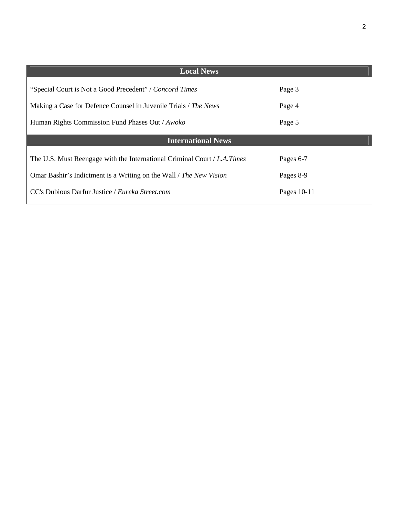| ۰,<br>S |
|---------|
|         |

| Page 3                    |  |  |
|---------------------------|--|--|
| Page 4                    |  |  |
| Page 5                    |  |  |
| <b>International News</b> |  |  |
| Pages 6-7                 |  |  |
| Pages 8-9                 |  |  |
| Pages 10-11               |  |  |
|                           |  |  |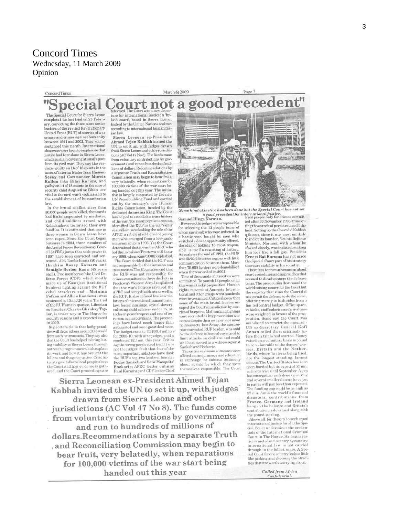special

### Concord Times

March 6/ 2009

The Special Court for Sierra Leone<br>completed its last trial on 25 February, convicting the three most senior leaders of the reviled Revolutionary United Front (RUF) of a series of war crimes and crimes against humanity<br>between 1991 and 2002. They will be sentenced this month. International observers were keen to emphasise that justice had been done in Sierra Leone which is still recovering at snail's pace from its civil war. They say the verdicts - guilty on 16 of 18 counts in the cases of interim leader Issa Hassan Sesay and Commander Morris Kallon (aka Bilai Karim), and guilty on 14 of 18 counts in the case of security chief Augustine Gbao - are vital to the civil war's victims and to the establishment of humanitarian

In the brutal conflict more than 50,000 people were killed, thousands had limbs amputated by machetes, and child soldiers armed with Kalashnikovs terrorised their own families. It is estimated that one in three women in Sierra Leone have been raped. Since the Court began<br>business in 2004, three members of the Armed Forces Revolutionary Council (AFRC) junta that took power in 1997 have been convicted and sen-<br>tenced - Alex Tamba Brima (50 years). Ibrahim Bazzy Kamara and Santigie Borbor Kanu (45 years<br>each). Two members of the Civil Defence Forces (CDF), which mostly made up of Kamajors (traditional<br>hunters) fighting against the RUF rebel attackers and - Moinina<br>Fofana and Allieu Kondewa - were sentenced to 15 and 20 years. The trial<br>of the RUF's main sponsor, Liberian ex-President Charles Ghankay Tay-Les result to charles of the Hague for<br>security reasons and is expected to end in 2010.

Supporters claim that hefty penalties will deter others around the world<br>from such heinous acts. They say also that the Court has helped to bring lasting stability to Sierra Leone through outreach programmes which explain<br>its work and how it has brought the killers and thugs to justice. Civic activists give talks to local people about the Court and how evidence is gathered, and the Court proceedings are

d. The Court was a new depay ture for international justice: a 'hy-<br>brid court', based in Sierra Leone, backed by the United Nations and run according to international humanitarian law.

Sierra Leonean ex-President Ahmed Tejan Kabbah invited the UN to set it up, with judges drawn from Sierra Leone and other jurisdictions (AC Vol 47 No 8). The funds come from voluntary contributions by gov-<br>ernments and run to hundreds of millions of dollars.Recommendations by a separate Truth and Reconciliation Commission may begin to bear fruit, very belatedly, when reparations for 100,000 victims of the war start being handed out this year. The initia-<br>tive is largely supported by the new UN Peacebuilding Fund and carried out by the country's new Human Rights Commission, headed by the dedicated Jamesina King. The Court as helped to establish a truer history of the war. Too many popular accounts<br>identified the RUF as the war's only real villain, overlooking the role of the AFRC, a rabble of soldiers and young men who emerged from a low-rank-<br>ing army coup in 1996. Yet the Court determined that it was the AFRC who led the invasion of Freetown on G January 1999, when some 6,000 people died. The Court decided that the RUF was

not responsible for that invasion and its atrocities. The Court also said that the RUF was not responsible for crimes committed in three districts in Freetown's Western Area, It explained that the war's horrors involved the AFRC and army dissidents as well as<br>the RUF. It also defined five new violations of international humanitarian law: forced marriage, sexual slavery, enlisting child soldiers under 15, attacks on peacekeepers and acts of terrorism against civilians. The proceedings have lasted much longer than anticipated and cost a great deal more The budget runs to US\$68.4 million/ for 2008-10, with nine judges paid a combined \$2.1mn, this year. Critics say the wrong people stood trial. It was not the judges' fault that four of the most important indictees have died: the RUF's top two leaders, founder Foday Sankoh and Sam'Mosquito' Bockarie; AFRC leader Johnny<br>Paul Koroma; and CDF leader Chief



Some kind of justice has been done but the Special Court has not set a good precedent for international justice.<br>Samuel Hinga Norman. tried people only for crimes commit-

However, the judges were responsible for selecting the 13 people (nine of whom survived) who were indicted. In a hectic war, fought by men who switched sides as opportunity offered, the idea of holding 13 'most responsible' is itself a rewriting of history.<br>As early as the end of 1993, the RUF was divided into two regions with little communication between them. More than 70,000 fighters were demobilised when the war ended in 2002.

Tens of thousands of atrocities were committed. To punish 13 people for all this was a tricky proposition. Human rights movement Amnesty International and other groups want hundreds more investigated. Critics also say that some of the most brutal leaders escaped the Court's jurisdiction by a se-<br>ries of bargains. Mid-ranking fighters were recruited as key prosecution witnesses despite their own perhaps more heinous acts. Issa Sesay, the most se-<br>nior convicted RUF leader, was said by the defence to have always tried to limit attacks on civilians and could well have served as a witness against Sankoh and Bockarie

The critics say some witn offered amnesty, money and relocation<br>in exchange for dubious testimony about events for which they were themselves responsible. The Court

Sierra Leonean ex-President Ahmed Tejan Kabbah invited the UN to set it up, with judges drawn from Sierra Leone and other jurisdictions (AC Vol 47 No 8). The funds come from voluntary contributions by governments and run to hundreds of millions of dollars. Recommendations by a separate Truth and Reconciliation Commission may begin to bear fruit, very belatedly, when reparations for 100,000 victims of the war start being handed out this year

ted after 30 November 1996, thus letting thousands of perpetrators off the hook. Setting up the Court did Kabbah a favour, since it was most unlikely to indict its founder. Yet his Defence Minister. Norman, with whom he vorked closely, was indicted, making him look like a fall guy. President<br>Ernest Bai Koroma has not made the Special Court part of his strategy to secure stability in his country.

There has been much concern about court procedures and approaches that seemed to disadvantage the defence team. The prosecution flew round the<br>world raising money for the Court but the registry that runs the Court did not permit the defence to do the same allotting money to both sides from a<br>limited central budget. Office space, vehicles, staff salaries and privileges were weighted in favour of the prosecution. Some say the Court was iandated to convict the accused -UN ex-Secretary General Kofi Annan called them criminals be-<br>fore their trials had started. Money raised on a voluntary basis is bound to be vulnerable to the donors ries. Britain and the Netherlands, where Taylor is being tried,<br>are the longest standing, largest donors. The United States has been open-handed but its expected \$9 mn. will not arrive until September. A gap<br>has emerged, as cash dries up in May and several smaller donors have yet<br>to pay or will pay less than expected. The funding gap could be as high as<br>\$7 mn. Amid the world's financial disasters, contributions from France, Germany and Ireland<br>hang in the balance and Britain's contribution is devalued along with the pound sterling.

Above all, for those who seek equal international justice for all, the Special Court undermines the creden-<br>tials of the International Criminal Court in The Hague. So long as justice is meted out country by country international law is not carried through in the fullest sense. A Special Court for one country looks a little like picking and choosing the atroci-<br>ties that are worth worrying about.

> Culled from Africa Confidential.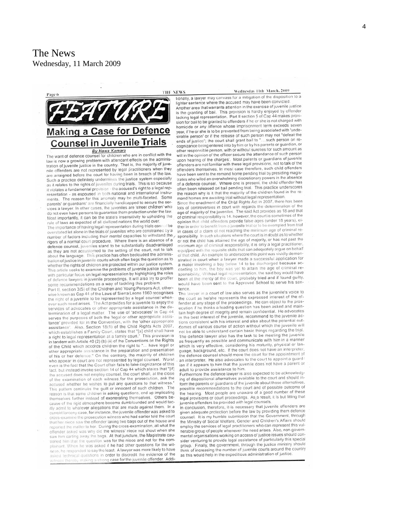# **Making a Case for Defence Counsel in Juvenile Trials**

**Ev Hawa Kamara**<br>The want of defence counsel for children who are in conflict with the law is now a growing problem with attendant effects on the administration of juvenile justice in the country. That is, the majority of juvenile offenders are not represented by legal practitioners when they are arraigned before the court for having been in breach of the law Such a practice definitely undermines the justice system especially<br>as it relates to the rights of juveniles during trials. This is so because it violates a fundamental provision - the accused's right to a legal representation - as espoused in both national and international instruments. The reason for this anomaly may be multi-faceted. Some parents' or guardians' are financially handicapped to secure the services a lawyer. In other cases, the juveniles are 'street children' who do not even have persons to guarantee them protection under the law Most importantly, it can be the state's insensitivity to upholding the rule of laws as expected of all civilized nations the world over.

The importance of having legal representation during trials cannot be overstated let alone in the trials of juveniles who are constrained by a number of factors including their mental capacities to withstand the rigors of a normal court procedure. Where there is an absence of a defence counsel, juveniles stand to be substantially disadvantaged as they are not accustomed to the setting of the court, not to talk about the language. This practice has often beclouded the administration of justice in juvenile courts which often begs the question as to whether the rights of children are protected within our justice system. This article seeks to examine the problems of juvenile justice system with particular focus on legal representation by highlighting the roles of defence lawyers in juvenile proceedings. It will also try to proffer some recommendations as a way of tackling this problem.

Part II, section 3(5) of the Children and Young Persons Act, otherwise known as Cap 44 of the Laws of Sierra Leone 1960 recognises the right of a juvenile to be represented by a legal counsel whenever such need arises. The Act provides for a juvenile to enjoy the services of advocates or other appropriate assistance in the determination of a legal matter. The use of 'advocates' in Cap 44 serves the purposes of both the 'legal or other appropriate assistance' provided for in the Convention, with the 'other appropriate Also, Section 18(1) of the Child Rights Acts 2007, assistance'. which establishes a Family Court, states that "[a] child shall have<br>a right to legal representation at a family court." This provision is in tandem with Article 40 (2) (b) (ii) of the Conventions on the Rights of the Child which accords children the right to "... have legal or other appropriate assistance in the preparation and presentation of his or her defence." On the contrary, the majority of children<br>who appear in court are not represented by legal counsel. Worst even is the fact that the Court often fails to take cognizance of this fact, but instead invoke section 14 of Cap 44 which states that "[if] the accused does not employ counsel, the court shall, at the close of the examination of each witness for the prosecution, ask the accused whether he wishes to put any questions to that witness." This pattern continues the guilt or innocent of such children. The reason is that some children in asking questions, end up implicating themselves further instead of exonerating themselves. Others because of the rigid atmosphere become dumbfounded and would tacitly admit to whatever allegations that are made against them. In a current larceny case, for instance, the juvenile offender was asked to cross-examine the prosecution witness who had earlier told the court that her niece saw the offender taking two bags out of the house and reported the matter to her. During the cross-examination, all what the offender asked was why did the witness' niece not shout when she saw him carting away the bags. At that juncture, the Magistrate cautioned him that the question was for the niece and not for the complainant. When he was asked if he had other questions for the witness, he responded to say the least. A lawyer was more likely to have asked technical questions in order to discredit the evidence of the less thereby making a strong case for the juvenile offender. Addi-

THE NEWS

### Wednesday 11th March, 2009

tionally, a lawyer may canvass for a mitigation of the disposition to a

lighter sentence where the accused may have been convicted Another area that warrants attention in the exercise of juvenile justice Amounter area used by the provision is hardly enjoyed by offender<br>is the granting of bail. This provision is hardly enjoyed by offender<br>lacking legal representation. Part II section 5 of Cap 44 makes provision for bail to be granted to offenders if he or she is not charged with homicide or any offence whose imprisonment term exceeds seven year, if he or she is to be prevented from being associated with 'undeyear, in the person 'or if the release of such person may not "defeat the ends of justice"; the court shall grant bail to "....such person on recognizance being entered into by him or by his parents or guardian, or other responsible person, with or without sureties for such amount as will in the opinion of the officer secure the attendance of such person upon hearing of the charges'. Most parents or guardians of juvenile offenders are not familiar with these legal provisions, not to talk of the offenders themselves. In most case therefore, such child offenders have been sent to the remand home pending trial by presiding magistrates who wiled an overwhelming discretionary powers in the absence of a defence counsel. Where one is present, the child offender has often been released on bail pending trial. This practice underscores the reason why is it that the majority of the children found in the remand homes are awaiting trial without legal representation.<br>Since the enactment of the Child Rights Act in 2007, there has been

lots of controversies in court with regards the determination of the age of majority of the juveniles. The said Act provides as 18 and that of criminal responsibility is 14. however, the court is sometimes of the opinion that child offenders provide false ages (under 18 years), either in order to benefit from a juvenile trial or to be exempted from trial in cases of a claim of not reaching the minimum age of criminal responsibility. In such situations where the court is in doubt as to whether or not the child has attained the age of majority, or has not past the minimum age of criminal responsibility, it is only a legal practitioner equipped with the requisite skills that can adequately argue on behalf of that child. An example to underscore this point was vividly demonstrated in court when a lawyer made a successful application for a mater involving a boy below 14 to be discharged because according to him, the boy was yet to attain the age of criminal responsibility. Without legal representation, the said boy would have been at the mercy of the court, probably tried and if found guilty, would have been sent to the Approved School to serve his sentence.

The lawyer in a court of law also serves as the juvenile's voice to the court as he/she represents the expressed interest of the offender at any stage of the proceedings. He can object to the prosecution if he thinks a leading question has been asked and maintain high degree of integrity and remain confidential. He advocates in the best interest of the juvenile, recommend to the juvenile actions consistent with his interest and also about the potential outcomes of various course of action without which the juvenile will not be able to understand certain basic things regarding the trial. The defence lawyer also has the task to be meeting the juvenile as frequently as possible and communicate with him in a manner which is very effective, considering his maturity, physical or language, background, etc. If the court does not have an interpreter, the defence counsel should move the court for the appointment of an interpreter. He also advocates to the court to appoint a guardian if it appears to him that the juvenile does not have a parent or adult to provide assistance to him.

Furthermore the defence lawyer is also expected to be acknowledging of dispositional alternatives available to the court and should inform the parents or guardians of the juvenile about those alternatives. possible recommendations to the court and of possible outcome of the hearing. Most people are unaware of a good number of these legal provisions or court proceedings. As a result, it is but fitting that juvenile offenders be provided with legal counsels.

In conclusion, therefore, it is necessary that juvenile offenders are<br>given adequate protection before the law by providing them defence counsel. It is my humble submission that the Government, through the Ministry of Social Welfare, Gender and Children's Affairs should employ the services of legal practitioners who can represent this vulnerable group of people whenever the need arises. Also, non-governmental organisations working on access of justice issues should consider venturing to provide legal assistance of particularly this special group. Finally, the government, through the justice ministry should think of increasing the number of juvenile courts around the country as this would help in the expeditious administration of justice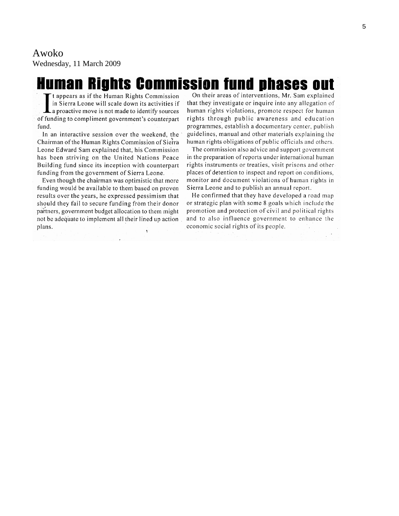# Awoko

Wednesday, 11 March 2009

# **Human Rights Commission fund phases out**

t appears as if the Human Rights Commission in Sierra Leone will scale down its activities if a proactive move is not made to identify sources of funding to compliment government's counterpart fund.

In an interactive session over the weekend, the Chairman of the Human Rights Commission of Sierra Leone Edward Sam explained that, his Commission has been striving on the United Nations Peace Building fund since its inception with counterpart funding from the government of Sierra Leone.

Even though the chairman was optimistic that more funding would be available to them based on proven results over the years, he expressed pessimism that should they fail to secure funding from their donor partners, government budget allocation to them might not be adequate to implement all their lined up action plans. ٠ţ.

On their areas of interventions, Mr. Sam explained that they investigate or inquire into any allegation of human rights violations, promote respect for human rights through public awareness and education programmes, establish a documentary center, publish guidelines, manual and other materials explaining the human rights obligations of public officials and others.

The commission also advice and support government in the preparation of reports under international human rights instruments or treaties, visit prisons and other places of detention to inspect and report on conditions, monitor and document violations of human rights in Sierra Leone and to publish an annual report.

He confirmed that they have developed a road map or strategic plan with some 8 goals which include the promotion and protection of civil and political rights and to also influence government to enhance the economic social rights of its people.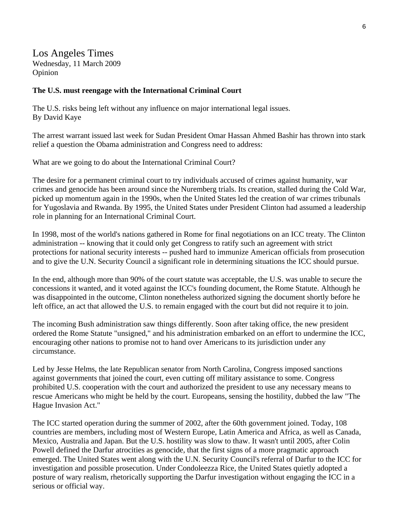# Los Angeles Times Wednesday, 11 March 2009 Opinion

### **The U.S. must reengage with the International Criminal Court**

The U.S. risks being left without any influence on major international legal issues. By David Kaye

The arrest warrant issued last week for Sudan President Omar Hassan Ahmed Bashir has thrown into stark relief a question the Obama administration and Congress need to address:

What are we going to do about the International Criminal Court?

The desire for a permanent criminal court to try individuals accused of crimes against humanity, war crimes and genocide has been around since the Nuremberg trials. Its creation, stalled during the Cold War, picked up momentum again in the 1990s, when the United States led the creation of war crimes tribunals for Yugoslavia and Rwanda. By 1995, the United States under President Clinton had assumed a leadership role in planning for an International Criminal Court.

In 1998, most of the world's nations gathered in Rome for final negotiations on an ICC treaty. The Clinton administration -- knowing that it could only get Congress to ratify such an agreement with strict protections for national security interests -- pushed hard to immunize American officials from prosecution and to give the U.N. Security Council a significant role in determining situations the ICC should pursue.

In the end, although more than 90% of the court statute was acceptable, the U.S. was unable to secure the concessions it wanted, and it voted against the ICC's founding document, the Rome Statute. Although he was disappointed in the outcome, Clinton nonetheless authorized signing the document shortly before he left office, an act that allowed the U.S. to remain engaged with the court but did not require it to join.

The incoming Bush administration saw things differently. Soon after taking office, the new president ordered the Rome Statute "unsigned," and his administration embarked on an effort to undermine the ICC, encouraging other nations to promise not to hand over Americans to its jurisdiction under any circumstance.

Led by Jesse Helms, the late Republican senator from North Carolina, Congress imposed sanctions against governments that joined the court, even cutting off military assistance to some. Congress prohibited U.S. cooperation with the court and authorized the president to use any necessary means to rescue Americans who might be held by the court. Europeans, sensing the hostility, dubbed the law "The Hague Invasion Act."

The ICC started operation during the summer of 2002, after the 60th government joined. Today, 108 countries are members, including most of Western Europe, Latin America and Africa, as well as Canada, Mexico, Australia and Japan. But the U.S. hostility was slow to thaw. It wasn't until 2005, after Colin Powell defined the Darfur atrocities as genocide, that the first signs of a more pragmatic approach emerged. The United States went along with the U.N. Security Council's referral of Darfur to the ICC for investigation and possible prosecution. Under Condoleezza Rice, the United States quietly adopted a posture of wary realism, rhetorically supporting the Darfur investigation without engaging the ICC in a serious or official way.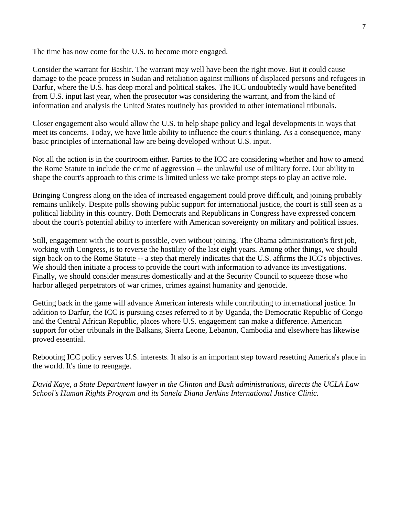The time has now come for the U.S. to become more engaged.

Consider the warrant for Bashir. The warrant may well have been the right move. But it could cause damage to the peace process in Sudan and retaliation against millions of displaced persons and refugees in Darfur, where the U.S. has deep moral and political stakes. The ICC undoubtedly would have benefited from U.S. input last year, when the prosecutor was considering the warrant, and from the kind of information and analysis the United States routinely has provided to other international tribunals.

Closer engagement also would allow the U.S. to help shape policy and legal developments in ways that meet its concerns. Today, we have little ability to influence the court's thinking. As a consequence, many basic principles of international law are being developed without U.S. input.

Not all the action is in the courtroom either. Parties to the ICC are considering whether and how to amend the Rome Statute to include the crime of aggression -- the unlawful use of military force. Our ability to shape the court's approach to this crime is limited unless we take prompt steps to play an active role.

Bringing Congress along on the idea of increased engagement could prove difficult, and joining probably remains unlikely. Despite polls showing public support for international justice, the court is still seen as a political liability in this country. Both Democrats and Republicans in Congress have expressed concern about the court's potential ability to interfere with American sovereignty on military and political issues.

Still, engagement with the court is possible, even without joining. The Obama administration's first job, working with Congress, is to reverse the hostility of the last eight years. Among other things, we should sign back on to the Rome Statute -- a step that merely indicates that the U.S. affirms the ICC's objectives. We should then initiate a process to provide the court with information to advance its investigations. Finally, we should consider measures domestically and at the Security Council to squeeze those who harbor alleged perpetrators of war crimes, crimes against humanity and genocide.

Getting back in the game will advance American interests while contributing to international justice. In addition to Darfur, the ICC is pursuing cases referred to it by Uganda, the Democratic Republic of Congo and the Central African Republic, places where U.S. engagement can make a difference. American support for other tribunals in the Balkans, Sierra Leone, Lebanon, Cambodia and elsewhere has likewise proved essential.

Rebooting ICC policy serves U.S. interests. It also is an important step toward resetting America's place in the world. It's time to reengage.

*David Kaye, a State Department lawyer in the Clinton and Bush administrations, directs the UCLA Law School's Human Rights Program and its Sanela Diana Jenkins International Justice Clinic.*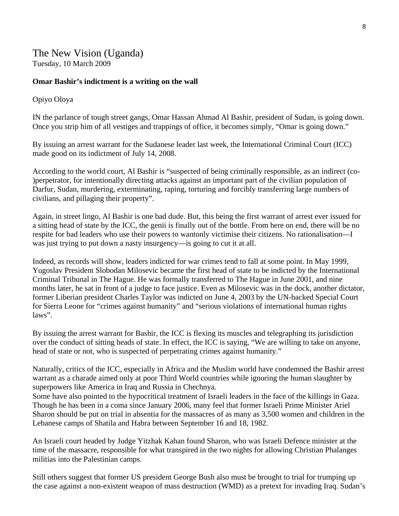The New Vision (Uganda) Tuesday, 10 March 2009

### **Omar Bashir's indictment is a writing on the wall**

### Opiyo Oloya

IN the parlance of tough street gangs, Omar Hassan Ahmad Al Bashir, president of Sudan, is going down. Once you strip him of all vestiges and trappings of office, it becomes simply, "Omar is going down."

By issuing an arrest warrant for the Sudanese leader last week, the International Criminal Court (ICC) made good on its indictment of July 14, 2008.

According to the world court, Al Bashir is "suspected of being criminally responsible, as an indirect (co- )perpetrator, for intentionally directing attacks against an important part of the civilian population of Darfur, Sudan, murdering, exterminating, raping, torturing and forcibly transferring large numbers of civilians, and pillaging their property".

Again, in street lingo, Al Bashir is one bad dude. But, this being the first warrant of arrest ever issued for a sitting head of state by the ICC, the genii is finally out of the bottle. From here on end, there will be no respite for bad leaders who use their powers to wantonly victimise their citizens. No rationalisation—I was just trying to put down a nasty insurgency—is going to cut it at all.

Indeed, as records will show, leaders indicted for war crimes tend to fall at some point. In May 1999, Yugoslav President Slobodan Milosevic became the first head of state to be indicted by the International Criminal Tribunal in The Hague. He was formally transferred to The Hague in June 2001, and nine months later, he sat in front of a judge to face justice. Even as Milosevic was in the dock, another dictator, former Liberian president Charles Taylor was indicted on June 4, 2003 by the UN-backed Special Court for Sierra Leone for "crimes against humanity" and "serious violations of international human rights laws".

By issuing the arrest warrant for Bashir, the ICC is flexing its muscles and telegraphing its jurisdiction over the conduct of sitting heads of state. In effect, the ICC is saying, "We are willing to take on anyone, head of state or not, who is suspected of perpetrating crimes against humanity."

Naturally, critics of the ICC, especially in Africa and the Muslim world have condemned the Bashir arrest warrant as a charade aimed only at poor Third World countries while ignoring the human slaughter by superpowers like America in Iraq and Russia in Chechnya.

Some have also pointed to the hypocritical treatment of Israeli leaders in the face of the killings in Gaza. Though he has been in a coma since January 2006, many feel that former Israeli Prime Minister Ariel Sharon should be put on trial in absentia for the massacres of as many as 3,500 women and children in the Lebanese camps of Shatila and Habra between September 16 and 18, 1982.

An Israeli court headed by Judge Yitzhak Kahan found Sharon, who was Israeli Defence minister at the time of the massacre, responsible for what transpired in the two nights for allowing Christian Phalanges militias into the Palestinian camps.

Still others suggest that former US president George Bush also must be brought to trial for trumping up the case against a non-existent weapon of mass destruction (WMD) as a pretext for invading Iraq. Sudan's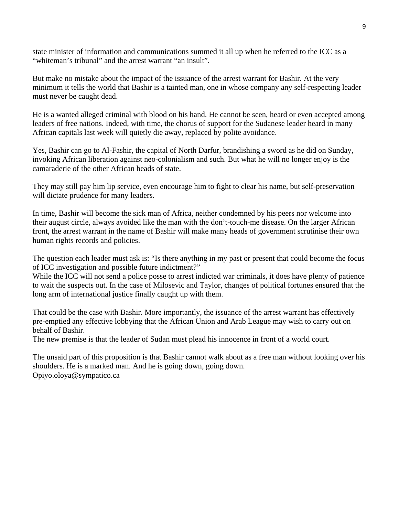state minister of information and communications summed it all up when he referred to the ICC as a "whiteman's tribunal" and the arrest warrant "an insult".

But make no mistake about the impact of the issuance of the arrest warrant for Bashir. At the very minimum it tells the world that Bashir is a tainted man, one in whose company any self-respecting leader must never be caught dead.

He is a wanted alleged criminal with blood on his hand. He cannot be seen, heard or even accepted among leaders of free nations. Indeed, with time, the chorus of support for the Sudanese leader heard in many African capitals last week will quietly die away, replaced by polite avoidance.

Yes, Bashir can go to Al-Fashir, the capital of North Darfur, brandishing a sword as he did on Sunday, invoking African liberation against neo-colonialism and such. But what he will no longer enjoy is the camaraderie of the other African heads of state.

They may still pay him lip service, even encourage him to fight to clear his name, but self-preservation will dictate prudence for many leaders.

In time, Bashir will become the sick man of Africa, neither condemned by his peers nor welcome into their august circle, always avoided like the man with the don't-touch-me disease. On the larger African front, the arrest warrant in the name of Bashir will make many heads of government scrutinise their own human rights records and policies.

The question each leader must ask is: "Is there anything in my past or present that could become the focus of ICC investigation and possible future indictment?"

While the ICC will not send a police posse to arrest indicted war criminals, it does have plenty of patience to wait the suspects out. In the case of Milosevic and Taylor, changes of political fortunes ensured that the long arm of international justice finally caught up with them.

That could be the case with Bashir. More importantly, the issuance of the arrest warrant has effectively pre-emptied any effective lobbying that the African Union and Arab League may wish to carry out on behalf of Bashir.

The new premise is that the leader of Sudan must plead his innocence in front of a world court.

The unsaid part of this proposition is that Bashir cannot walk about as a free man without looking over his shoulders. He is a marked man. And he is going down, going down. Opiyo.oloya@sympatico.ca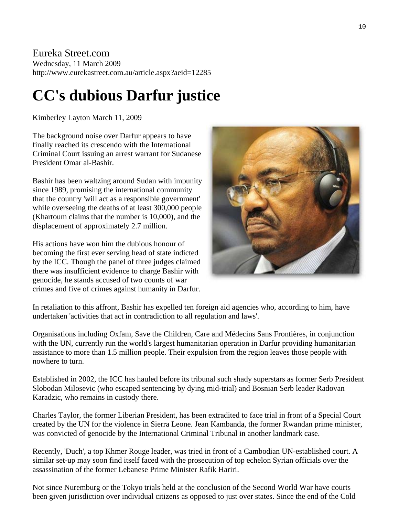## Eureka Street.com Wednesday, 11 March 2009 http://www.eurekastreet.com.au/article.aspx?aeid=12285

# **CC's dubious Darfur justice**

Kimberley Layton March 11, 2009

The background noise over Darfur appears to have finally reached its crescendo with the International Criminal Court issuing an arrest warrant for Sudanese President Omar al-Bashir.

Bashir has been waltzing around Sudan with impunity since 1989, promising the international community that the country 'will act as a responsible government' while overseeing the deaths of at least 300,000 people (Khartoum claims that the number is 10,000), and the displacement of approximately 2.7 million.

His actions have won him the dubious honour of becoming the first ever serving head of state indicted by the ICC. Though the panel of three judges claimed there was insufficient evidence to charge Bashir with genocide, he stands accused of two counts of war crimes and five of crimes against humanity in Darfur.



In retaliation to this affront, Bashir has expelled ten foreign aid agencies who, according to him, have undertaken 'activities that act in contradiction to all regulation and laws'.

Organisations including Oxfam, Save the Children, Care and Médecins Sans Frontières, in conjunction with the UN, currently run the world's largest humanitarian operation in Darfur providing humanitarian assistance to more than 1.5 million people. Their expulsion from the region leaves those people with nowhere to turn.

Established in 2002, the ICC has hauled before its tribunal such shady superstars as former Serb President Slobodan Milosevic (who escaped sentencing by dying mid-trial) and Bosnian Serb leader Radovan Karadzic, who remains in custody there.

Charles Taylor, the former Liberian President, has been extradited to face trial in front of a Special Court created by the UN for the violence in Sierra Leone. Jean Kambanda, the former Rwandan prime minister, was convicted of genocide by the International Criminal Tribunal in another landmark case.

Recently, 'Duch', a top Khmer Rouge leader, was tried in front of a Cambodian UN-established court. A similar set-up may soon find itself faced with the prosecution of top echelon Syrian officials over the assassination of the former Lebanese Prime Minister Rafik Hariri.

Not since Nuremburg or the Tokyo trials held at the conclusion of the Second World War have courts been given jurisdiction over individual citizens as opposed to just over states. Since the end of the Cold